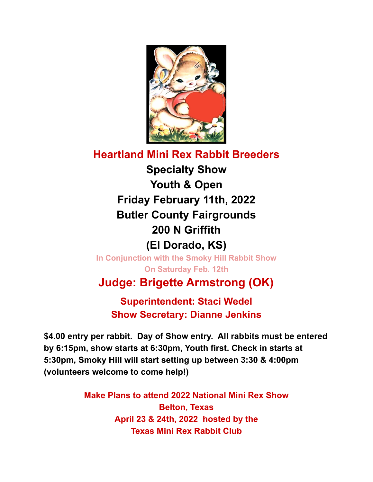

## **Heartland Mini Rex Rabbit Breeders Specialty Show Youth & Open Friday February 11th, 2022 Butler County Fairgrounds 200 N Griffith (El Dorado, KS)**

**In Conjunction with the Smoky Hill Rabbit Show On Saturday Feb. 12th**

**Judge: Brigette Armstrong (OK)**

**Superintendent: Staci Wedel Show Secretary: Dianne Jenkins**

**\$4.00 entry per rabbit. Day of Show entry. All rabbits must be entered by 6:15pm, show starts at 6:30pm, Youth first. Check in starts at 5:30pm, Smoky Hill will start setting up between 3:30 & 4:00pm (volunteers welcome to come help!)**

> **Make Plans to attend 2022 National Mini Rex Show Belton, Texas April 23 & 24th, 2022 hosted by the Texas Mini Rex Rabbit Club**